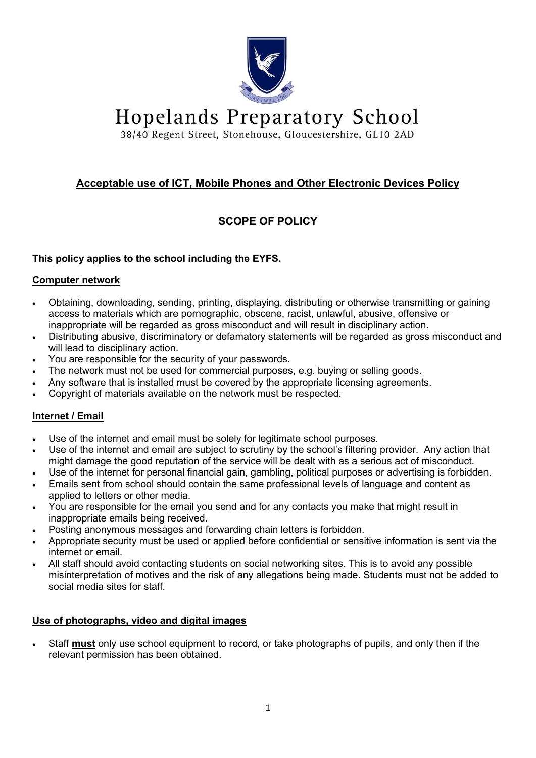

**Hopelands Preparatory School** 

38/40 Regent Street, Stonehouse, Gloucestershire, GL10 2AD

## **Acceptable use of ICT, Mobile Phones and Other Electronic Devices Policy**

# **SCOPE OF POLICY**

## **This policy applies to the school including the EYFS.**

#### **Computer network**

- Obtaining, downloading, sending, printing, displaying, distributing or otherwise transmitting or gaining access to materials which are pornographic, obscene, racist, unlawful, abusive, offensive or inappropriate will be regarded as gross misconduct and will result in disciplinary action.
- Distributing abusive, discriminatory or defamatory statements will be regarded as gross misconduct and will lead to disciplinary action.
- You are responsible for the security of your passwords.
- The network must not be used for commercial purposes, e.g. buying or selling goods.
- Any software that is installed must be covered by the appropriate licensing agreements.
- Copyright of materials available on the network must be respected.

## **Internet / Email**

- Use of the internet and email must be solely for legitimate school purposes.
- Use of the internet and email are subject to scrutiny by the school's filtering provider. Any action that might damage the good reputation of the service will be dealt with as a serious act of misconduct.
- Use of the internet for personal financial gain, gambling, political purposes or advertising is forbidden.
- Emails sent from school should contain the same professional levels of language and content as applied to letters or other media.
- You are responsible for the email you send and for any contacts you make that might result in inappropriate emails being received.
- Posting anonymous messages and forwarding chain letters is forbidden.
- Appropriate security must be used or applied before confidential or sensitive information is sent via the internet or email.
- All staff should avoid contacting students on social networking sites. This is to avoid any possible misinterpretation of motives and the risk of any allegations being made. Students must not be added to social media sites for staff.

## **Use of photographs, video and digital images**

• Staff **must** only use school equipment to record, or take photographs of pupils, and only then if the relevant permission has been obtained.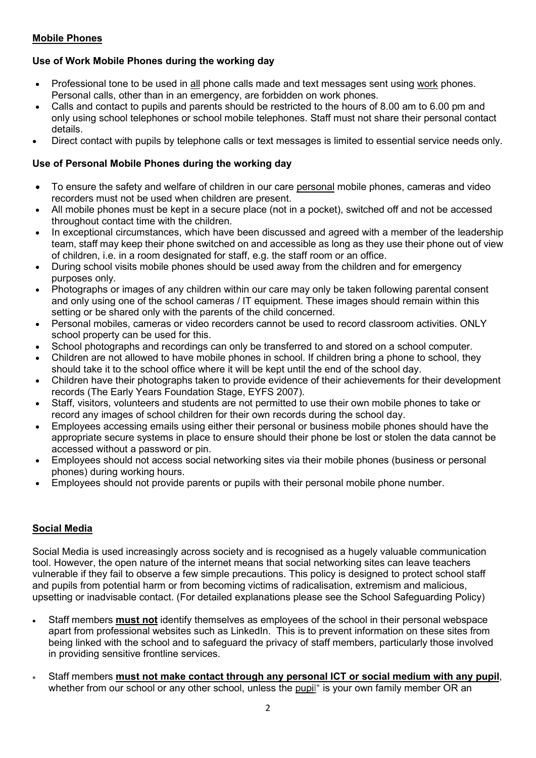## **Mobile Phones**

## **Use of Work Mobile Phones during the working day**

- Professional tone to be used in all phone calls made and text messages sent using work phones. Personal calls, other than in an emergency, are forbidden on work phones.
- Calls and contact to pupils and parents should be restricted to the hours of 8.00 am to 6.00 pm and only using school telephones or school mobile telephones. Staff must not share their personal contact details.
- Direct contact with pupils by telephone calls or text messages is limited to essential service needs only.

#### **Use of Personal Mobile Phones during the working day**

- To ensure the safety and welfare of children in our care personal mobile phones, cameras and video recorders must not be used when children are present.
- All mobile phones must be kept in a secure place (not in a pocket), switched off and not be accessed throughout contact time with the children.
- In exceptional circumstances, which have been discussed and agreed with a member of the leadership team, staff may keep their phone switched on and accessible as long as they use their phone out of view of children, i.e. in a room designated for staff, e.g. the staff room or an office.
- During school visits mobile phones should be used away from the children and for emergency purposes only.
- Photographs or images of any children within our care may only be taken following parental consent and only using one of the school cameras / IT equipment. These images should remain within this setting or be shared only with the parents of the child concerned.
- Personal mobiles, cameras or video recorders cannot be used to record classroom activities. ONLY school property can be used for this.
- School photographs and recordings can only be transferred to and stored on a school computer.
- Children are not allowed to have mobile phones in school. If children bring a phone to school, they should take it to the school office where it will be kept until the end of the school day.
- Children have their photographs taken to provide evidence of their achievements for their development records (The Early Years Foundation Stage, EYFS 2007).
- Staff, visitors, volunteers and students are not permitted to use their own mobile phones to take or record any images of school children for their own records during the school day.
- Employees accessing emails using either their personal or business mobile phones should have the appropriate secure systems in place to ensure should their phone be lost or stolen the data cannot be accessed without a password or pin.
- Employees should not access social networking sites via their mobile phones (business or personal phones) during working hours.
- Employees should not provide parents or pupils with their personal mobile phone number.

## **Social Media**

Social Media is used increasingly across society and is recognised as a hugely valuable communication tool. However, the open nature of the internet means that social networking sites can leave teachers vulnerable if they fail to observe a few simple precautions. This policy is designed to protect school staff and pupils from potential harm or from becoming victims of radicalisation, extremism and malicious, upsetting or inadvisable contact. (For detailed explanations please see the School Safeguarding Policy)

- Staff members **must not** identify themselves as employees of the school in their personal webspace apart from professional websites such as LinkedIn. This is to prevent information on these sites from being linked with the school and to safeguard the privacy of staff members, particularly those involved in providing sensitive frontline services.
- Staff members **must not make contact through any personal ICT or social medium with any pupil**, whether from our school or any other school, unless the pupil<sup>\*</sup> is your own family member OR an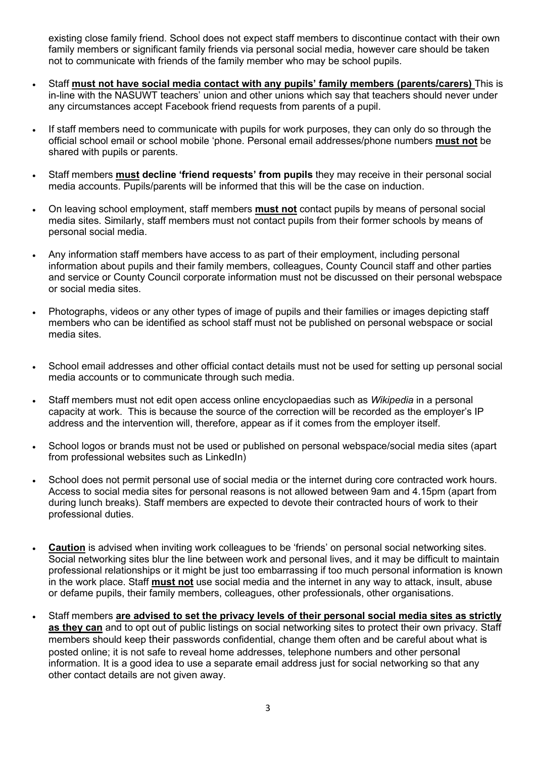existing close family friend. School does not expect staff members to discontinue contact with their own family members or significant family friends via personal social media, however care should be taken not to communicate with friends of the family member who may be school pupils.

- Staff **must not have social media contact with any pupils' family members (parents/carers)** This is in-line with the NASUWT teachers' union and other unions which say that teachers should never under any circumstances accept Facebook friend requests from parents of a pupil.
- If staff members need to communicate with pupils for work purposes, they can only do so through the official school email or school mobile 'phone. Personal email addresses/phone numbers **must not** be shared with pupils or parents.
- Staff members **must decline 'friend requests' from pupils** they may receive in their personal social media accounts. Pupils/parents will be informed that this will be the case on induction.
- On leaving school employment, staff members **must not** contact pupils by means of personal social media sites. Similarly, staff members must not contact pupils from their former schools by means of personal social media.
- Any information staff members have access to as part of their employment, including personal information about pupils and their family members, colleagues, County Council staff and other parties and service or County Council corporate information must not be discussed on their personal webspace or social media sites.
- Photographs, videos or any other types of image of pupils and their families or images depicting staff members who can be identified as school staff must not be published on personal webspace or social media sites.
- School email addresses and other official contact details must not be used for setting up personal social media accounts or to communicate through such media.
- Staff members must not edit open access online encyclopaedias such as *Wikipedia* in a personal capacity at work. This is because the source of the correction will be recorded as the employer's IP address and the intervention will, therefore, appear as if it comes from the employer itself.
- School logos or brands must not be used or published on personal webspace/social media sites (apart from professional websites such as LinkedIn)
- School does not permit personal use of social media or the internet during core contracted work hours. Access to social media sites for personal reasons is not allowed between 9am and 4.15pm (apart from during lunch breaks). Staff members are expected to devote their contracted hours of work to their professional duties.
- **Caution** is advised when inviting work colleagues to be 'friends' on personal social networking sites. Social networking sites blur the line between work and personal lives, and it may be difficult to maintain professional relationships or it might be just too embarrassing if too much personal information is known in the work place. Staff **must not** use social media and the internet in any way to attack, insult, abuse or defame pupils, their family members, colleagues, other professionals, other organisations.
- Staff members **are advised to set the privacy levels of their personal social media sites as strictly as they can** and to opt out of public listings on social networking sites to protect their own privacy. Staff members should keep their passwords confidential, change them often and be careful about what is posted online; it is not safe to reveal home addresses, telephone numbers and other personal information. It is a good idea to use a separate email address just for social networking so that any other contact details are not given away.